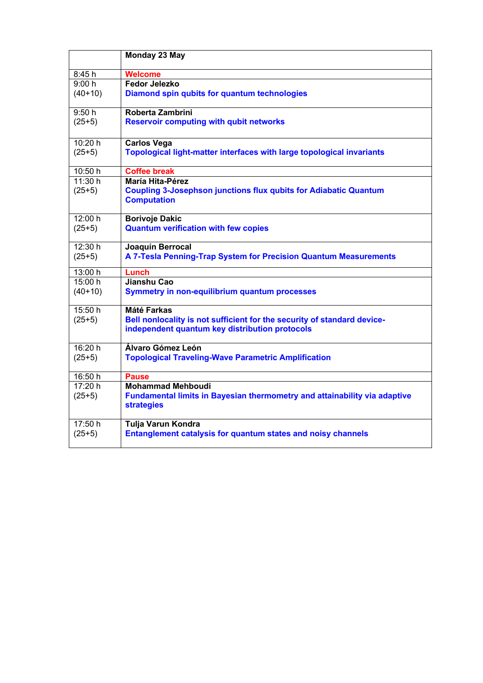|           | Monday 23 May                                                                                                             |
|-----------|---------------------------------------------------------------------------------------------------------------------------|
| 8:45 h    | <b>Welcome</b>                                                                                                            |
| 9:00 h    | <b>Fedor Jelezko</b>                                                                                                      |
| $(40+10)$ | Diamond spin qubits for quantum technologies                                                                              |
| 9:50h     | Roberta Zambrini                                                                                                          |
| $(25+5)$  | <b>Reservoir computing with qubit networks</b>                                                                            |
| 10:20 h   | <b>Carlos Vega</b>                                                                                                        |
| $(25+5)$  | Topological light-matter interfaces with large topological invariants                                                     |
| 10:50 h   | <b>Coffee break</b>                                                                                                       |
| 11:30 h   | María Hita-Pérez                                                                                                          |
| $(25+5)$  | <b>Coupling 3-Josephson junctions flux qubits for Adiabatic Quantum</b><br><b>Computation</b>                             |
| 12:00 h   | <b>Borivoje Dakic</b>                                                                                                     |
| $(25+5)$  | <b>Quantum verification with few copies</b>                                                                               |
| 12:30 h   | Joaquín Berrocal                                                                                                          |
| $(25+5)$  | A 7-Tesla Penning-Trap System for Precision Quantum Measurements                                                          |
| 13:00 h   | Lunch                                                                                                                     |
| 15:00 h   | Jianshu Cao                                                                                                               |
| $(40+10)$ | <b>Symmetry in non-equilibrium quantum processes</b>                                                                      |
| 15:50 h   | <b>Máté Farkas</b>                                                                                                        |
| $(25+5)$  | Bell nonlocality is not sufficient for the security of standard device-<br>independent quantum key distribution protocols |
| 16:20 h   | Álvaro Gómez León                                                                                                         |
| $(25+5)$  | <b>Topological Traveling-Wave Parametric Amplification</b>                                                                |
| 16:50 h   | <b>Pause</b>                                                                                                              |
| 17:20 h   | <b>Mohammad Mehboudi</b>                                                                                                  |
| $(25+5)$  | <b>Fundamental limits in Bayesian thermometry and attainability via adaptive</b><br><b>strategies</b>                     |
| 17:50 h   | Tulja Varun Kondra                                                                                                        |
| $(25+5)$  | <b>Entanglement catalysis for quantum states and noisy channels</b>                                                       |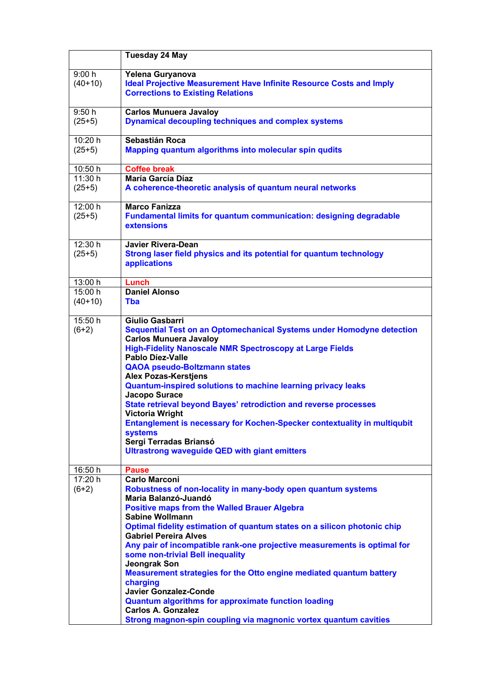|                      | <b>Tuesday 24 May</b>                                                                                                                                                                                                                                                                                                                                                                                                                                                                                                                                                                                                                                                      |
|----------------------|----------------------------------------------------------------------------------------------------------------------------------------------------------------------------------------------------------------------------------------------------------------------------------------------------------------------------------------------------------------------------------------------------------------------------------------------------------------------------------------------------------------------------------------------------------------------------------------------------------------------------------------------------------------------------|
| 9:00h<br>$(40+10)$   | Yelena Guryanova<br><b>Ideal Projective Measurement Have Infinite Resource Costs and Imply</b><br><b>Corrections to Existing Relations</b>                                                                                                                                                                                                                                                                                                                                                                                                                                                                                                                                 |
| 9:50h<br>$(25+5)$    | <b>Carlos Munuera Javaloy</b><br><b>Dynamical decoupling techniques and complex systems</b>                                                                                                                                                                                                                                                                                                                                                                                                                                                                                                                                                                                |
| 10:20 h<br>$(25+5)$  | Sebastián Roca<br>Mapping quantum algorithms into molecular spin qudits                                                                                                                                                                                                                                                                                                                                                                                                                                                                                                                                                                                                    |
| 10:50 h              | <b>Coffee break</b>                                                                                                                                                                                                                                                                                                                                                                                                                                                                                                                                                                                                                                                        |
| 11:30 h<br>$(25+5)$  | <b>María García Díaz</b><br>A coherence-theoretic analysis of quantum neural networks                                                                                                                                                                                                                                                                                                                                                                                                                                                                                                                                                                                      |
| 12:00 h<br>$(25+5)$  | <b>Marco Fanizza</b><br><b>Fundamental limits for quantum communication: designing degradable</b><br>extensions                                                                                                                                                                                                                                                                                                                                                                                                                                                                                                                                                            |
| 12:30 h<br>$(25+5)$  | <b>Javier Rivera-Dean</b><br>Strong laser field physics and its potential for quantum technology<br>applications                                                                                                                                                                                                                                                                                                                                                                                                                                                                                                                                                           |
| 13:00 h              | Lunch                                                                                                                                                                                                                                                                                                                                                                                                                                                                                                                                                                                                                                                                      |
| 15:00 h<br>$(40+10)$ | <b>Daniel Alonso</b><br><b>T</b> ba                                                                                                                                                                                                                                                                                                                                                                                                                                                                                                                                                                                                                                        |
| 15:50 h<br>$(6+2)$   | <b>Giulio Gasbarri</b><br>Sequential Test on an Optomechanical Systems under Homodyne detection<br><b>Carlos Munuera Javaloy</b><br><b>High-Fidelity Nanoscale NMR Spectroscopy at Large Fields</b><br><b>Pablo Díez-Valle</b><br><b>QAOA pseudo-Boltzmann states</b><br><b>Alex Pozas-Kerstjens</b><br>Quantum-inspired solutions to machine learning privacy leaks<br>Jacopo Surace<br><b>State retrieval beyond Bayes' retrodiction and reverse processes</b><br><b>Victoria Wright</b><br>Entanglement is necessary for Kochen-Specker contextuality in multiqubit<br><b>systems</b><br>Sergi Terradas Briansó<br><b>Ultrastrong waveguide QED with giant emitters</b> |
| 16:50 h              | <b>Pause</b>                                                                                                                                                                                                                                                                                                                                                                                                                                                                                                                                                                                                                                                               |
| 17:20 h<br>$(6+2)$   | <b>Carlo Marconi</b><br>Robustness of non-locality in many-body open quantum systems<br>Maria Balanzó-Juandó<br><b>Positive maps from the Walled Brauer Algebra</b><br><b>Sabine Wollmann</b><br>Optimal fidelity estimation of quantum states on a silicon photonic chip<br><b>Gabriel Pereira Alves</b><br>Any pair of incompatible rank-one projective measurements is optimal for                                                                                                                                                                                                                                                                                      |
|                      | some non-trivial Bell inequality<br><b>Jeongrak Son</b><br>Measurement strategies for the Otto engine mediated quantum battery<br>charging<br><b>Javier Gonzalez-Conde</b><br><b>Quantum algorithms for approximate function loading</b><br><b>Carlos A. Gonzalez</b>                                                                                                                                                                                                                                                                                                                                                                                                      |
|                      | Strong magnon-spin coupling via magnonic vortex quantum cavities                                                                                                                                                                                                                                                                                                                                                                                                                                                                                                                                                                                                           |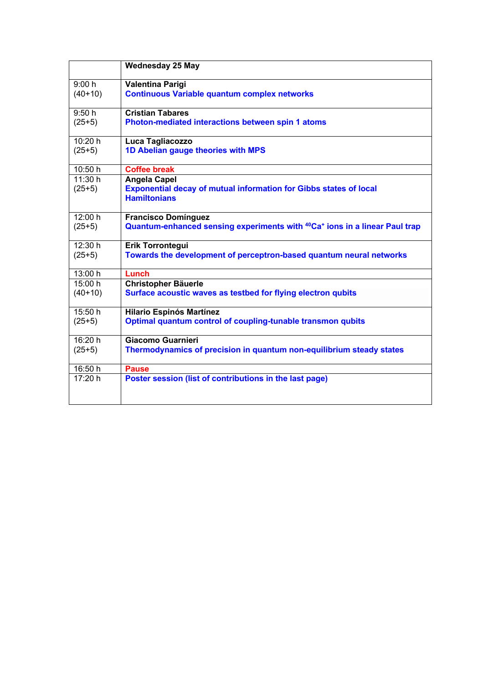|           | <b>Wednesday 25 May</b>                                                                            |
|-----------|----------------------------------------------------------------------------------------------------|
| 9:00 h    | <b>Valentina Parigi</b>                                                                            |
| $(40+10)$ | <b>Continuous Variable quantum complex networks</b>                                                |
| 9:50h     | <b>Cristian Tabares</b>                                                                            |
| $(25+5)$  | Photon-mediated interactions between spin 1 atoms                                                  |
| 10:20 h   | Luca Tagliacozzo                                                                                   |
| $(25+5)$  | 1D Abelian gauge theories with MPS                                                                 |
| 10:50 h   | <b>Coffee break</b>                                                                                |
| 11:30 h   | <b>Angela Capel</b>                                                                                |
| $(25+5)$  | <b>Exponential decay of mutual information for Gibbs states of local</b><br><b>Hamiltonians</b>    |
| 12:00 h   | <b>Francisco Domínguez</b>                                                                         |
| $(25+5)$  | Quantum-enhanced sensing experiments with <sup>40</sup> Ca <sup>+</sup> ions in a linear Paul trap |
| 12:30 h   | <b>Erik Torrontegui</b>                                                                            |
| $(25+5)$  | Towards the development of perceptron-based quantum neural networks                                |
| 13:00 h   | Lunch                                                                                              |
| 15:00 h   | <b>Christopher Bäuerle</b>                                                                         |
| $(40+10)$ | Surface acoustic waves as testbed for flying electron qubits                                       |
| 15:50 h   | <b>Hilario Espinós Martínez</b>                                                                    |
| $(25+5)$  | Optimal quantum control of coupling-tunable transmon qubits                                        |
| 16:20 h   | <b>Giacomo Guarnieri</b>                                                                           |
| $(25+5)$  | Thermodynamics of precision in quantum non-equilibrium steady states                               |
| 16:50 h   | <b>Pause</b>                                                                                       |
| 17:20 h   | Poster session (list of contributions in the last page)                                            |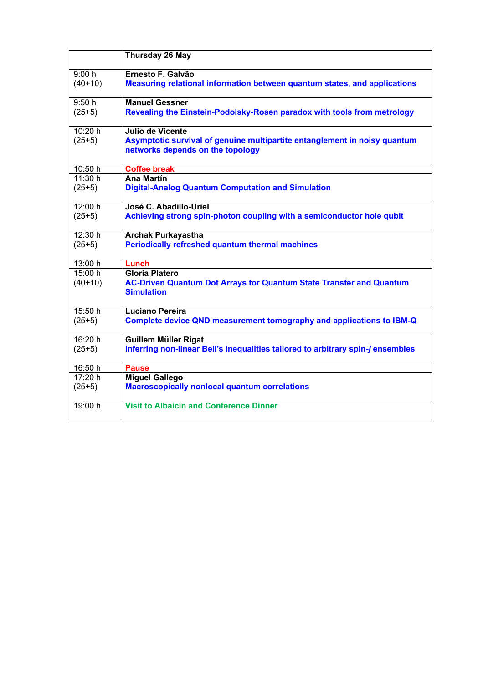|           | Thursday 26 May                                                                                               |
|-----------|---------------------------------------------------------------------------------------------------------------|
| 9:00 h    | Ernesto F. Galvão                                                                                             |
| $(40+10)$ | Measuring relational information between quantum states, and applications                                     |
| 9:50h     | <b>Manuel Gessner</b>                                                                                         |
| $(25+5)$  | Revealing the Einstein-Podolsky-Rosen paradox with tools from metrology                                       |
| 10:20 h   | Julio de Vicente                                                                                              |
| $(25+5)$  | Asymptotic survival of genuine multipartite entanglement in noisy quantum<br>networks depends on the topology |
| 10:50 h   | <b>Coffee break</b>                                                                                           |
| 11:30 h   | <b>Ana Martín</b>                                                                                             |
| $(25+5)$  | <b>Digital-Analog Quantum Computation and Simulation</b>                                                      |
| 12:00 h   | José C. Abadillo-Uriel                                                                                        |
| $(25+5)$  | Achieving strong spin-photon coupling with a semiconductor hole qubit                                         |
| 12:30 h   | <b>Archak Purkayastha</b>                                                                                     |
| $(25+5)$  | <b>Periodically refreshed quantum thermal machines</b>                                                        |
| 13:00 h   | Lunch                                                                                                         |
| 15:00 h   | <b>Gloria Platero</b>                                                                                         |
| $(40+10)$ | <b>AC-Driven Quantum Dot Arrays for Quantum State Transfer and Quantum</b><br><b>Simulation</b>               |
| 15:50 h   | Luciano Pereira                                                                                               |
| $(25+5)$  | <b>Complete device QND measurement tomography and applications to IBM-Q</b>                                   |
| 16:20 h   | <b>Guillem Müller Rigat</b>                                                                                   |
| $(25+5)$  | Inferring non-linear Bell's inequalities tailored to arbitrary spin-j ensembles                               |
| 16:50 h   | <b>Pause</b>                                                                                                  |
| 17:20 h   | <b>Miguel Gallego</b>                                                                                         |
| $(25+5)$  | <b>Macroscopically nonlocal quantum correlations</b>                                                          |
| 19:00 h   | <b>Visit to Albaicín and Conference Dinner</b>                                                                |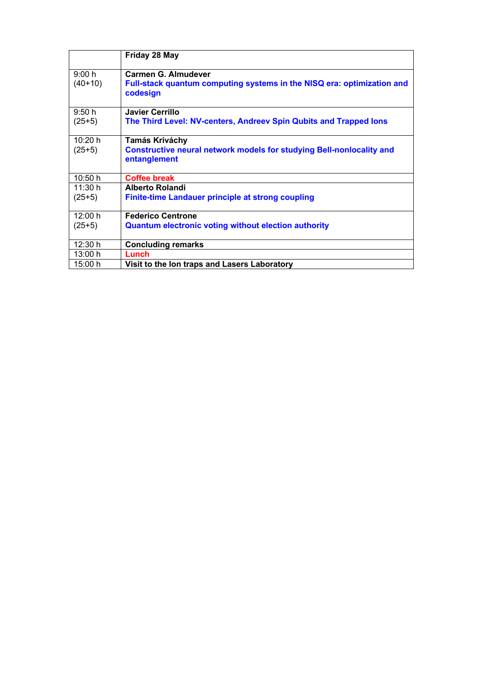|           | Friday 28 May                                                                               |
|-----------|---------------------------------------------------------------------------------------------|
| 9:00 h    | <b>Carmen G. Almudever</b>                                                                  |
| $(40+10)$ | Full-stack quantum computing systems in the NISQ era: optimization and<br>codesign          |
| 9:50h     | <b>Javier Cerrillo</b>                                                                      |
| $(25+5)$  | The Third Level: NV-centers, Andreev Spin Qubits and Trapped lons                           |
| 10:20 h   | Tamás Kriváchy                                                                              |
| $(25+5)$  | <b>Constructive neural network models for studying Bell-nonlocality and</b><br>entanglement |
| 10:50 h   | <b>Coffee break</b>                                                                         |
| 11:30 h   | Alberto Rolandi                                                                             |
| $(25+5)$  | <b>Finite-time Landauer principle at strong coupling</b>                                    |
| 12:00 h   | <b>Federico Centrone</b>                                                                    |
| $(25+5)$  | <b>Quantum electronic voting without election authority</b>                                 |
| 12:30 h   | <b>Concluding remarks</b>                                                                   |
| 13:00 h   | Lunch                                                                                       |
| 15:00 h   | Visit to the Ion traps and Lasers Laboratory                                                |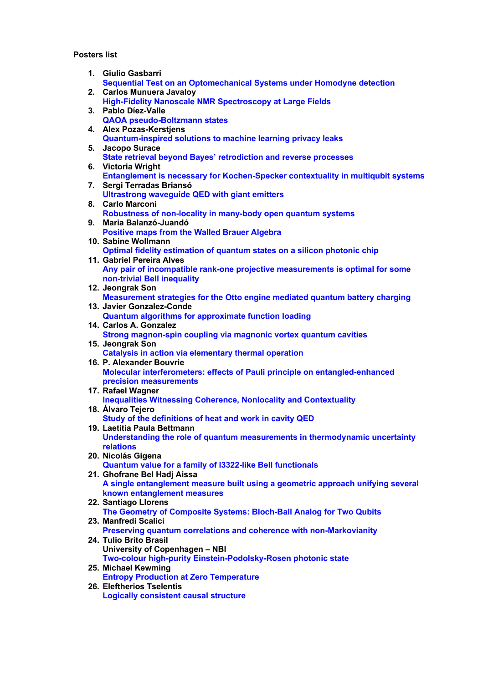## **Posters list**

|    | 1. Giulio Gasbarri                                                               |
|----|----------------------------------------------------------------------------------|
|    | Sequential Test on an Optomechanical Systems under Homodyne detection            |
|    | 2. Carlos Munuera Javaloy                                                        |
|    | <b>High-Fidelity Nanoscale NMR Spectroscopy at Large Fields</b>                  |
|    | 3. Pablo Díez-Valle                                                              |
|    | <b>QAOA pseudo-Boltzmann states</b>                                              |
|    | 4. Alex Pozas-Kerstjens                                                          |
|    | Quantum-inspired solutions to machine learning privacy leaks                     |
| 5. | Jacopo Surace                                                                    |
|    | State retrieval beyond Bayes' retrodiction and reverse processes                 |
|    | 6. Victoria Wright                                                               |
|    | Entanglement is necessary for Kochen-Specker contextuality in multiqubit systems |
|    | 7. Sergi Terradas Briansó                                                        |
|    | <b>Ultrastrong waveguide QED with giant emitters</b>                             |
|    | 8. Carlo Marconi                                                                 |
|    | Robustness of non-locality in many-body open quantum systems                     |
|    | 9. Maria Balanzó-Juandó                                                          |
|    | <b>Positive maps from the Walled Brauer Algebra</b>                              |
|    | 10. Sabine Wollmann                                                              |
|    | Optimal fidelity estimation of quantum states on a silicon photonic chip         |
|    | 11. Gabriel Pereira Alves                                                        |
|    | Any pair of incompatible rank-one projective measurements is optimal for some    |
|    | non-trivial Bell inequality                                                      |
|    | 12. Jeongrak Son                                                                 |
|    | Measurement strategies for the Otto engine mediated quantum battery charging     |
|    | 13. Javier Gonzalez-Conde                                                        |
|    | <b>Quantum algorithms for approximate function loading</b>                       |
|    | 14. Carlos A. Gonzalez                                                           |
|    | Strong magnon-spin coupling via magnonic vortex quantum cavities                 |
|    | 15. Jeongrak Son                                                                 |
|    | Catalysis in action via elementary thermal operation                             |
|    | 16. P. Alexander Bouvrie                                                         |
|    | Molecular interferometers: effects of Pauli principle on entangled-enhanced      |
|    | precision measurements                                                           |
|    | 17. Rafael Wagner                                                                |
|    | <b>Inequalities Witnessing Coherence, Nonlocality and Contextuality</b>          |
|    | 18. Álvaro Tejero                                                                |
|    | Study of the definitions of heat and work in cavity QED                          |
|    | 19. Laetitia Paula Bettmann                                                      |
|    | Understanding the role of quantum measurements in thermodynamic uncertainty      |
|    | relations                                                                        |
|    | 20. Nicolás Gigena                                                               |
|    | Quantum value for a family of I3322-like Bell functionals                        |
|    | 21. Ghofrane Bel Hadj Aissa                                                      |
|    | A single entanglement measure built using a geometric approach unifying several  |
|    | known entanglement measures                                                      |
|    | 22. Santiago Llorens                                                             |
|    | The Geometry of Composite Systems: Bloch-Ball Analog for Two Qubits              |
|    | 23. Manfredi Scalici                                                             |
|    | Preserving quantum correlations and coherence with non-Markovianity              |
|    | 24. Tulio Brito Brasil                                                           |
|    | University of Copenhagen - NBI                                                   |
|    | Two-colour high-purity Einstein-Podolsky-Rosen photonic state                    |
|    | 25. Michael Kewming                                                              |
|    | <b>Entropy Production at Zero Temperature</b>                                    |
|    | 26. Eleftherios Tselentis                                                        |
|    | <b>Logically consistent causal structure</b>                                     |
|    |                                                                                  |